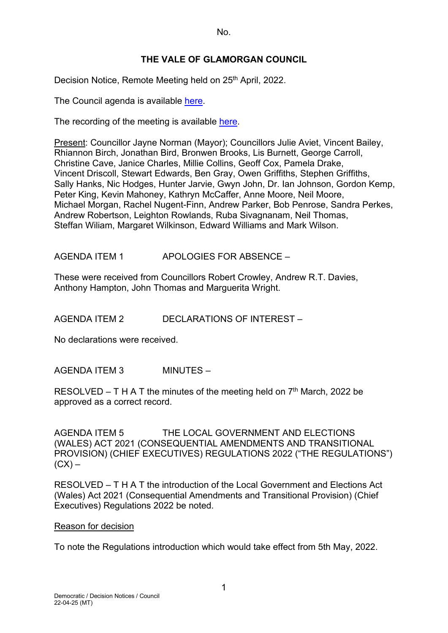No.

# **THE VALE OF GLAMORGAN COUNCIL**

Decision Notice, Remote Meeting held on 25<sup>th</sup> April, 2022.

The Council agenda is available [here.](https://www.valeofglamorgan.gov.uk/en/our_council/Council-Structure/minutes,_agendas_and_reports/agendas/council/2022/22-04-25.aspx)

The recording of the meeting is available [here.](https://www.youtube.com/watch?v=-DT0vOkGNgw&list=PLzt4i14pgqIFIu5GcsMs1g6b5IUR90m5d&index=1)

Present: Councillor Jayne Norman (Mayor); Councillors Julie Aviet, Vincent Bailey, Rhiannon Birch, Jonathan Bird, Bronwen Brooks, Lis Burnett, George Carroll, Christine Cave, Janice Charles, Millie Collins, Geoff Cox, Pamela Drake, Vincent Driscoll, Stewart Edwards, Ben Gray, Owen Griffiths, Stephen Griffiths, Sally Hanks, Nic Hodges, Hunter Jarvie, Gwyn John, Dr. Ian Johnson, Gordon Kemp, Peter King, Kevin Mahoney, Kathryn McCaffer, Anne Moore, Neil Moore, Michael Morgan, Rachel Nugent-Finn, Andrew Parker, Bob Penrose, Sandra Perkes, Andrew Robertson, Leighton Rowlands, Ruba Sivagnanam, Neil Thomas, Steffan Wiliam, Margaret Wilkinson, Edward Williams and Mark Wilson.

AGENDA ITEM 1 APOLOGIES FOR ABSENCE –

These were received from Councillors Robert Crowley, Andrew R.T. Davies, Anthony Hampton, John Thomas and Marguerita Wright.

AGENDA ITEM 2 DECLARATIONS OF INTEREST –

No declarations were received.

AGENDA ITEM 3 MINUTES –

RESOLVED – T H A T the minutes of the meeting held on  $7<sup>th</sup>$  March, 2022 be approved as a correct record.

AGENDA ITEM 5 THE LOCAL GOVERNMENT AND ELECTIONS (WALES) ACT 2021 (CONSEQUENTIAL AMENDMENTS AND TRANSITIONAL PROVISION) (CHIEF EXECUTIVES) REGULATIONS 2022 ("THE REGULATIONS")  $(CX)$  –

RESOLVED – T H A T the introduction of the Local Government and Elections Act (Wales) Act 2021 (Consequential Amendments and Transitional Provision) (Chief Executives) Regulations 2022 be noted.

#### Reason for decision

To note the Regulations introduction which would take effect from 5th May, 2022.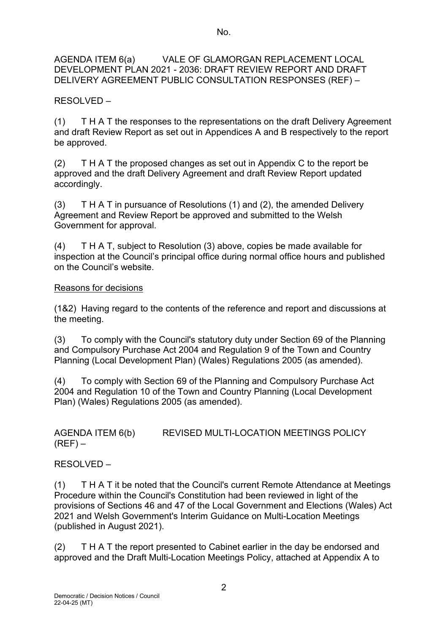AGENDA ITEM 6(a) VALE OF GLAMORGAN REPLACEMENT LOCAL DEVELOPMENT PLAN 2021 - 2036: DRAFT REVIEW REPORT AND DRAFT DELIVERY AGREEMENT PUBLIC CONSULTATION RESPONSES (REF) –

RESOLVED –

(1) T H A T the responses to the representations on the draft Delivery Agreement and draft Review Report as set out in Appendices A and B respectively to the report be approved.

(2) T H A T the proposed changes as set out in Appendix C to the report be approved and the draft Delivery Agreement and draft Review Report updated accordingly.

(3) T H A T in pursuance of Resolutions (1) and (2), the amended Delivery Agreement and Review Report be approved and submitted to the Welsh Government for approval.

(4) T H A T, subject to Resolution (3) above, copies be made available for inspection at the Council's principal office during normal office hours and published on the Council's website.

# Reasons for decisions

(1&2) Having regard to the contents of the reference and report and discussions at the meeting.

(3) To comply with the Council's statutory duty under Section 69 of the Planning and Compulsory Purchase Act 2004 and Regulation 9 of the Town and Country Planning (Local Development Plan) (Wales) Regulations 2005 (as amended).

(4) To comply with Section 69 of the Planning and Compulsory Purchase Act 2004 and Regulation 10 of the Town and Country Planning (Local Development Plan) (Wales) Regulations 2005 (as amended).

AGENDA ITEM 6(b) REVISED MULTI-LOCATION MEETINGS POLICY  $(REF)$  –

RESOLVED –

(1) T H A T it be noted that the Council's current Remote Attendance at Meetings Procedure within the Council's Constitution had been reviewed in light of the provisions of Sections 46 and 47 of the Local Government and Elections (Wales) Act 2021 and Welsh Government's Interim Guidance on Multi-Location Meetings (published in August 2021).

(2) T H A T the report presented to Cabinet earlier in the day be endorsed and approved and the Draft Multi-Location Meetings Policy, attached at Appendix A to

2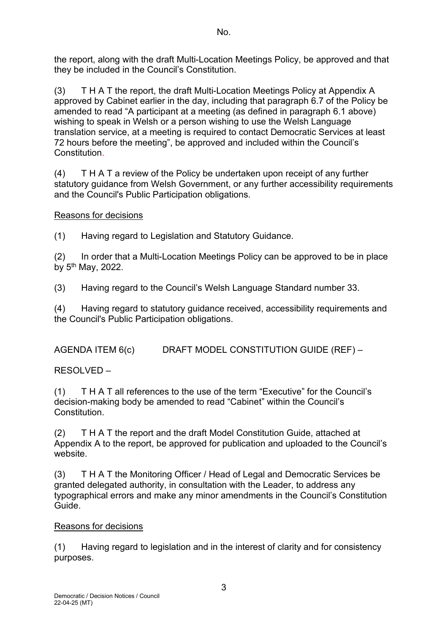the report, along with the draft Multi-Location Meetings Policy, be approved and that they be included in the Council's Constitution.

(3) T H A T the report, the draft Multi-Location Meetings Policy at Appendix A approved by Cabinet earlier in the day, including that paragraph 6.7 of the Policy be amended to read "A participant at a meeting (as defined in paragraph 6.1 above) wishing to speak in Welsh or a person wishing to use the Welsh Language translation service, at a meeting is required to contact Democratic Services at least 72 hours before the meeting", be approved and included within the Council's Constitution.

(4) T H A T a review of the Policy be undertaken upon receipt of any further statutory guidance from Welsh Government, or any further accessibility requirements and the Council's Public Participation obligations.

# Reasons for decisions

(1) Having regard to Legislation and Statutory Guidance.

(2) In order that a Multi-Location Meetings Policy can be approved to be in place by 5th May, 2022.

(3) Having regard to the Council's Welsh Language Standard number 33.

(4) Having regard to statutory guidance received, accessibility requirements and the Council's Public Participation obligations.

AGENDA ITEM 6(c) DRAFT MODEL CONSTITUTION GUIDE (REF) –

RESOLVED –

(1) T H A T all references to the use of the term "Executive" for the Council's decision-making body be amended to read "Cabinet" within the Council's Constitution.

(2) T H A T the report and the draft Model Constitution Guide, attached at Appendix A to the report, be approved for publication and uploaded to the Council's website.

(3) T H A T the Monitoring Officer / Head of Legal and Democratic Services be granted delegated authority, in consultation with the Leader, to address any typographical errors and make any minor amendments in the Council's Constitution Guide.

# Reasons for decisions

(1) Having regard to legislation and in the interest of clarity and for consistency purposes.

3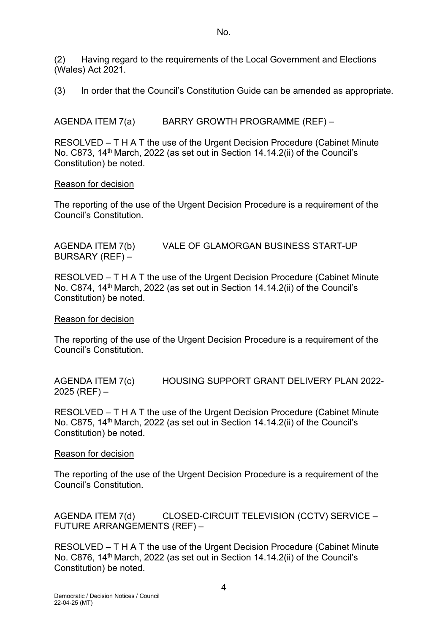(2) Having regard to the requirements of the Local Government and Elections (Wales) Act 2021.

(3) In order that the Council's Constitution Guide can be amended as appropriate.

AGENDA ITEM 7(a) BARRY GROWTH PROGRAMME (REF) –

RESOLVED – T H A T the use of the Urgent Decision Procedure (Cabinet Minute No. C873, 14<sup>th</sup> March, 2022 (as set out in Section 14.14.2(ii) of the Council's Constitution) be noted.

## Reason for decision

The reporting of the use of the Urgent Decision Procedure is a requirement of the Council's Constitution.

AGENDA ITEM 7(b) VALE OF GLAMORGAN BUSINESS START-UP BURSARY (REF) –

RESOLVED – T H A T the use of the Urgent Decision Procedure (Cabinet Minute No. C874, 14<sup>th</sup> March, 2022 (as set out in Section 14.14.2(ii) of the Council's Constitution) be noted.

## Reason for decision

The reporting of the use of the Urgent Decision Procedure is a requirement of the Council's Constitution.

AGENDA ITEM 7(c) HOUSING SUPPORT GRANT DELIVERY PLAN 2022-  $2025$  (REF)  $-$ 

RESOLVED – T H A T the use of the Urgent Decision Procedure (Cabinet Minute No. C875, 14<sup>th</sup> March, 2022 (as set out in Section 14.14.2(ii) of the Council's Constitution) be noted.

## Reason for decision

The reporting of the use of the Urgent Decision Procedure is a requirement of the Council's Constitution.

AGENDA ITEM 7(d) CLOSED-CIRCUIT TELEVISION (CCTV) SERVICE – FUTURE ARRANGEMENTS (REF) –

RESOLVED – T H A T the use of the Urgent Decision Procedure (Cabinet Minute No. C876, 14<sup>th</sup> March, 2022 (as set out in Section 14.14.2(ii) of the Council's Constitution) be noted.

4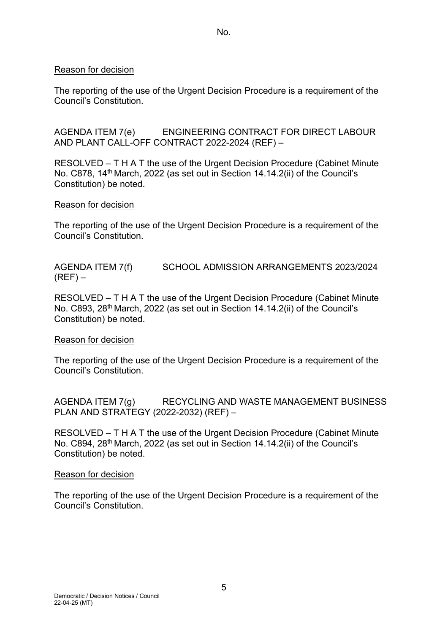No.

## Reason for decision

The reporting of the use of the Urgent Decision Procedure is a requirement of the Council's Constitution.

AGENDA ITEM 7(e) ENGINEERING CONTRACT FOR DIRECT LABOUR AND PLANT CALL-OFF CONTRACT 2022-2024 (REF) –

RESOLVED – T H A T the use of the Urgent Decision Procedure (Cabinet Minute No. C878, 14<sup>th</sup> March, 2022 (as set out in Section 14.14.2(ii) of the Council's Constitution) be noted.

#### Reason for decision

The reporting of the use of the Urgent Decision Procedure is a requirement of the Council's Constitution.

AGENDA ITEM 7(f) SCHOOL ADMISSION ARRANGEMENTS 2023/2024  $(REF)$  –

RESOLVED – T H A T the use of the Urgent Decision Procedure (Cabinet Minute No. C893, 28<sup>th</sup> March, 2022 (as set out in Section 14.14.2(ii) of the Council's Constitution) be noted.

## Reason for decision

The reporting of the use of the Urgent Decision Procedure is a requirement of the Council's Constitution.

AGENDA ITEM 7(g) RECYCLING AND WASTE MANAGEMENT BUSINESS PLAN AND STRATEGY (2022-2032) (REF) –

RESOLVED – T H A T the use of the Urgent Decision Procedure (Cabinet Minute No. C894, 28<sup>th</sup> March, 2022 (as set out in Section 14.14.2(ii) of the Council's Constitution) be noted.

#### Reason for decision

The reporting of the use of the Urgent Decision Procedure is a requirement of the Council's Constitution.